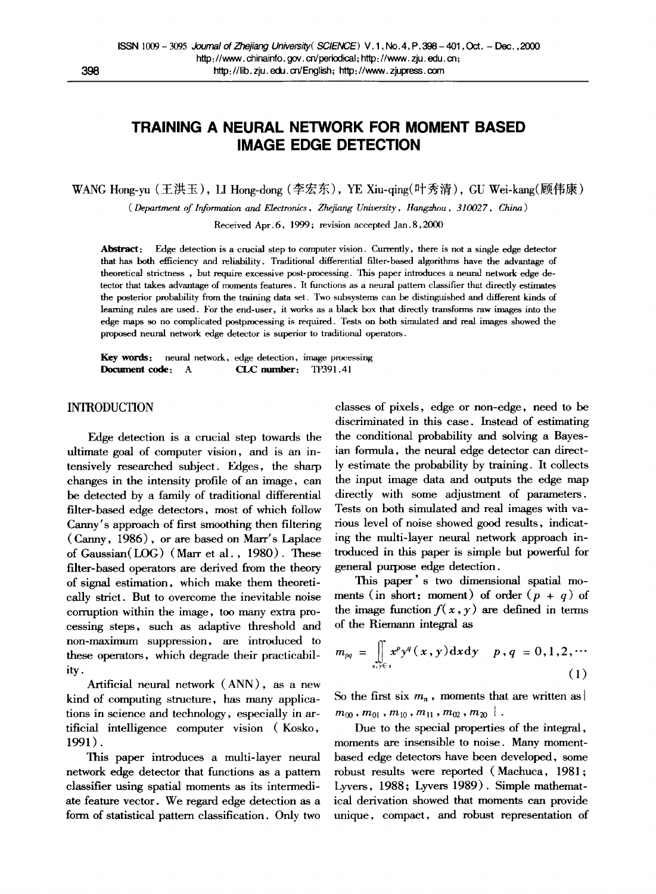# **TRAINING A NEURAL NETWORK FOR MOMENT BASED IMAGE EDGE DETECTION**

WANG Hong-yu (王洪玉), LI Hong-dong (李宏东), YE Xiu-qing(叶秀清), GU Wei-kang (顾伟康)

*( Department of Information and Electronics, Zhejiang University, ttangzhou, 310027, China)* 

Received Apr.6, 1999; revision accepted Jan.8,2000

Abstract: Edge detection is a crucial step to computer vision. Currently, there is not a single edge detector that has both efficiency and reliability. Traditional differential filter-based algorithms have the advantage of theoretical strictness, but require excessive post-processing. This paper introduces a neural network edge detector that takes advantage of moments features. It functions as a neural pattern classifier that directly estimates the posterior probability from the training data set. Two subsystems can be distinguished and different kinds of learning rules are used. For the end-user, it works as a black box that directly transforms raw images into the edge maps so no complicated postprocessing is required. Tests on both simulated and real images showed the proposed neural network edge detector is superior to traditional operators.

Key words: neural network, edge detection, image processing Document code: A CLC number: TP391.41

## INTRODUCTION

Edge detection is a crucial step towards the ultimate goal of computer vision, and is an intensively researched subject. Edges, the sharp changes in the intensity profile of an image, can be detected by a family of traditional differential filter-based edge detectors, most of which follow Canny's approach of first smoothing then filtering (Canny, 1986), or are based on Marr's Laplace of Gaussian(LOG) (Marr et al. , 1980). These filter-based operators are derived from the theory of signal estimation, which make them theoretically strict. But to overcome the inevitable noise corruption within the image, too many extra processing steps, such as adaptive threshold and non-maximum suppression, are introduced to these operators, which degrade their practicability.

Artificial neural network (ANN), as a new kind of computing structure, has many applications in science and technology, especially in artificial intelligence computer vision (Kosko, 1991).

This paper introduces a multi-layer neural network edge detector that functions as a pattern classifier using spatial moments as its intermediate feature vector. We regard edge detection as a form of statistieal pattern classification. Only two classes of pixels, edge or non-edge, need to be discriminated in this case. Instead of estimating the conditional probability and solving a Bayesian formula, the neural edge detector can directly estimate the probability by training. It collects the input image data and outputs the edge map directly with some adjustment of parameters. Tests on both simulated and real images with various level of noise showed good results, indicating the multi-layer neural network approach introduced in this paper is simple but powerful for general purpose edge detection.

This paper' s two dimensional spatial moments (in short: moment) of order  $(p + q)$  of the image function  $f(x, y)$  are defined in terms of the Riemann integral as

$$
m_{pq} = \iint\limits_{x,y \in s} x^p y^q(x,y) \, \mathrm{d}x \, \mathrm{d}y \quad p,q = 0,1,2,\cdots \tag{1}
$$

So the first six  $m_n$ , moments that are written as  $\{$  $m_{00}$  ,  $m_{01}$  ,  $m_{10}$  ,  $m_{11}$  ,  $m_{02}$  ,  $m_{20}$   $\}$  .

Due to the special properties of the integral, moments are insensible to noise. Many momentbased edge detectors have been developed, some robust results were reported (Machuca, 1981; Lyvers, 1988; Lyvers 1989). Simple mathematical derivation showed that moments can provide unique, compact, and robust representation of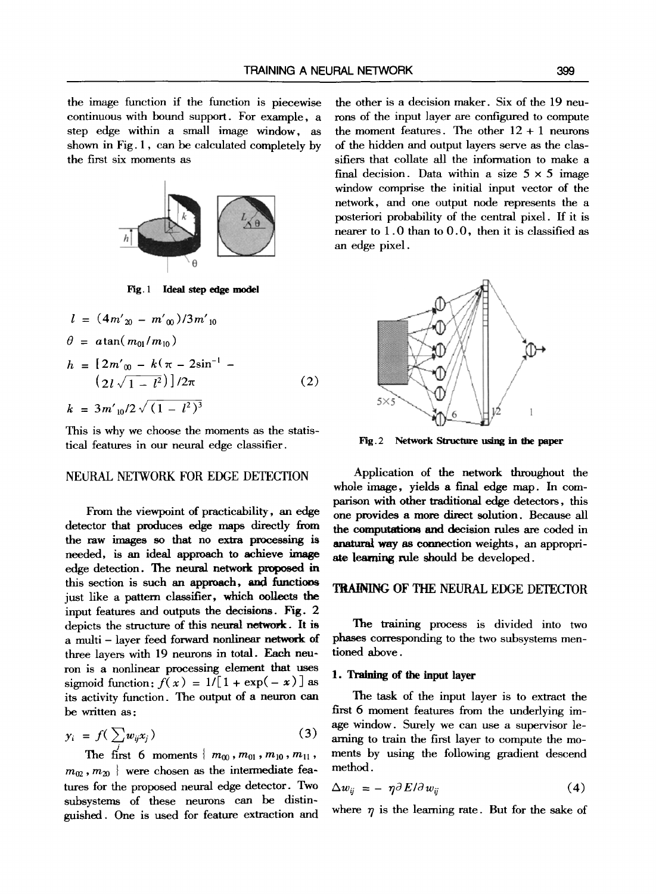the image function if the function is piecewise continuous with bound support. For example, a step edge within a small image window, as shown in Fig. 1, can be calculated completely by the first six moments as



**Fig. I Ideal step edge model** 

$$
l = (4m'_{20} - m'_{00})/3m'_{10}
$$
  
\n
$$
\theta = \alpha \tan(m_{01}/m_{10})
$$
  
\n
$$
h = [2m'_{00} - k(\pi - 2\sin^{-1} - (2l\sqrt{1 - l^2})]/2\pi]
$$
  
\n
$$
k = 3m'_{10}/2\sqrt{(1 - l^2)^3}
$$
\n(2)

This is why we choose the moments as the statistical features in our neural edge classifier.

### NEIJRAL NETWORK FOR EDGE DETECTION

From the viewpoint of practicability, an edge detector that produces edge maps directly from the raw images so that no extra processing **is**  needed, is an ideal approach to achieve image edge detection. The neural network proposed in this section is such an approach, and functions just like a pattern classifier, which oolleets the input features and outputs the decisions. Fig. 2 depicts the structure of this neural network. It is a multi- layer feed forward nonlinear network of three layers with 19 neurons in total. Each neuron is a nonlinear processing element that uses sigmoid function:  $f(x) = 1/[1 + \exp(-x)]$  as its activity function. The output of a neuron can be written as:

$$
y_i = f\left(\sum_{j} w_{ij} x_j\right) \tag{3}
$$
  
The first 6 moments {  $m_{00}, m_{01}, m_{10}, m_{11}$ ,

 $m_{02}$ ,  $m_{20}$  } were chosen as the intermediate features for the proposed neural edge detector. Two subsystems of these neurons can be distinguished. One is used for feature extraction and the other is a decision maker. Six of the 19 neurons of the input layer are configured to compute the moment features. The other  $12 + 1$  neurons of the hidden and output layers serve as the classifiers that collate all the information to make a final decision. Data within a size  $5 \times 5$  image window comprise the initial input vector of the network, and one output node represents the a posteriori probability of the central pixel. If it is nearer to 1.0 than to 0.0, then it is classified as an edge pixel.



**Fig. 2 Network Structure using in the paper** 

Application of the network throughout the whole image, yields a final edge map. In comparison with other traditional edge detectors, this one provides a more direct solution. Because all the computations and decision rules are coded in anatural way as connection weights, an appropriate learning rule should be developed.

## TRAINING OF THE NEURAL EDGE DETECTOR

The training process is divided into two phases corresponding to the two subsystems mentioned above.

### **I. Training of the input layer**

The task of the input layer is to extract the first 6 moment features from the underlying image window. Surely we can use a supervisor learning to train the first layer to compute the moments by using the following gradient descend method.

$$
\Delta w_{ij} = - \eta \partial E / \partial w_{ij} \tag{4}
$$

where  $\eta$  is the learning rate. But for the sake of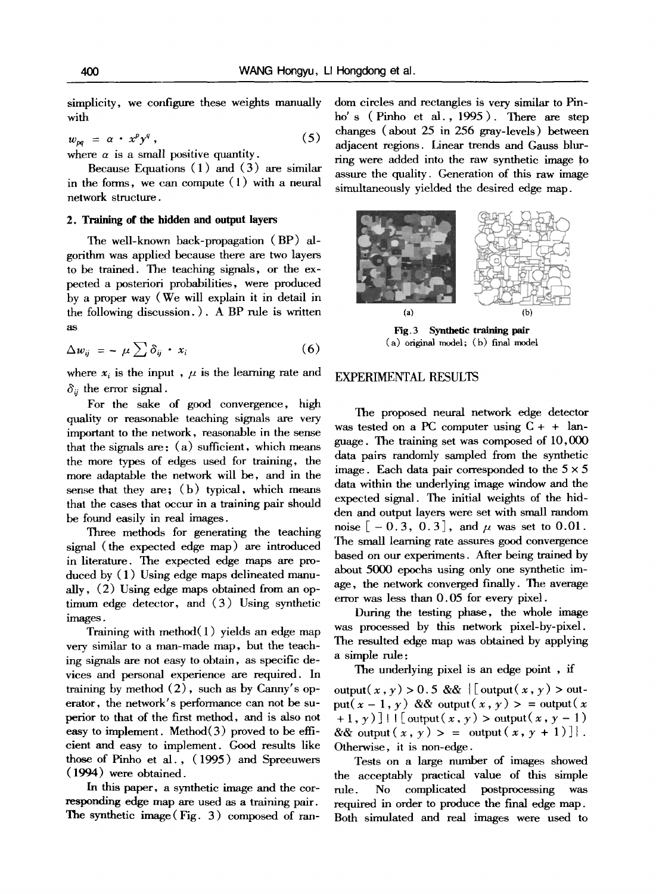simplicity, we configure these weights manually with

$$
w_{pq} = \alpha \cdot x^p y^q, \qquad (5)
$$

where  $\alpha$  is a small positive quantity.

Because Equations (1) and (3) are similar in the forms, we can compute (1) with a neural network structure.

#### **2. Training of the hidden and output layers**

The well-known back-propagation (BP) algorithm was applied because there are two layers to be trained. The teaching signals, or the expected a posteriori probabilities, were produced by a proper way (We will explain it in detail in the following discussion. ). A BP rule is written as

$$
\Delta w_{ij} = - \mu \sum \delta_{ij} \cdot x_i \tag{6}
$$

where  $x_i$  is the input,  $\mu$  is the learning rate and  $\delta_{ij}$  the error signal.

For the sake of good convergence, high quality or reasonable teaching signals are very important to the network, reasonable in the sense that the signals are:  $(a)$  sufficient, which means the more types of edges used for training, the more adaptable the network will be, and in the sense that they are;  $(b)$  typical, which means that the cases that occur in a training pair should be found easily in real images.

Three methods for generating the teaching signal (the expected edge map) are introduced in literature. The expected edge maps are produced by (1) Using edge maps delineated manually, (2) Using edge maps obtained from an optimum edge detector, and  $(3)$  Using synthetic images.

Training with method $(1)$  yields an edge map very similar to a man-made map, but the teaching signals are not easy to obtain, as specific devices and personal experience are required. In training by method (2), such as by Canny's operator, the network's performance can not be superior to that of the first method, and is also not easy to implement. Method(3) proved to be efficient and easy to implement. Good results like those of Pinho et al., (1995) and Spreeuwers (1994) were obtained.

In this paper, a synthetic image and the corresponding edge map are used as a training pair. The synthetic image (Fig. 3) composed of random circles and rectangles is very similar to Pinho' s ( Pinho et al., 1995 ). There are step changes (about 25 in 256 gray-levels) between adjacent regions. Linear trends and Gauss blurring were added into the raw synthetic image to assure the quality. Generation of this raw image simultaneously yielded the desired edge map.



**Fig. 3** Synthetic training pair  $(a)$  original model;  $(b)$  final model

### EXPERIMENTAL RESULTS

The proposed neural network edge detector was tested on a PC computer using  $C + +$  language. The training set was composed of 10,000 data pairs randomly sampled from the synthetic image. Each data pair corresponded to the  $5 \times 5$ data within the underlying image window and the expected signal. The initial weights of the hidden and output layers were set with small random noise  $[-0.3, 0.3]$ , and  $\mu$  was set to 0.01. The small learning rate assures good convergence based on our experiments. After being trained by about 5000 epochs using only one synthetic image, the network converged finally. The average error was less than 0.05 for every pixel.

During the testing phase, the whole image was processed by this network pixel-by-pixel. The resulted edge map was obtained by applying a simple rule:

The underlying pixel is an edge point , if

output(x, y) > 0.5 &&  $\{$  [ output(x, y) > output( $x - 1$ ,  $y$ ) && output( $x$ ,  $y$ ) > = output( $x$  $+1, \gamma$ ] |  $\lceil \int$  output $(x, y)$  > output $(x, y - 1)$  $&\&$  output  $(x, y) > =$  output  $(x, y + 1)$ . Otherwise, it is non-edge.

Tests on a large number of images showed the acceptably practical value of this simple rule. No complicated postprocessing was required in order to produce the final edge map. Both simulated and real images were used to